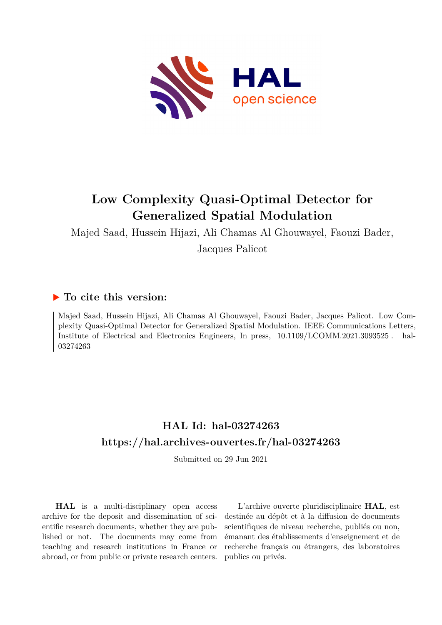

## **Low Complexity Quasi-Optimal Detector for Generalized Spatial Modulation**

Majed Saad, Hussein Hijazi, Ali Chamas Al Ghouwayel, Faouzi Bader, Jacques Palicot

## **To cite this version:**

Majed Saad, Hussein Hijazi, Ali Chamas Al Ghouwayel, Faouzi Bader, Jacques Palicot. Low Complexity Quasi-Optimal Detector for Generalized Spatial Modulation. IEEE Communications Letters, Institute of Electrical and Electronics Engineers, In press,  $10.1109/LCOMM.2021.3093525$ . hal-03274263

## **HAL Id: hal-03274263 <https://hal.archives-ouvertes.fr/hal-03274263>**

Submitted on 29 Jun 2021

**HAL** is a multi-disciplinary open access archive for the deposit and dissemination of scientific research documents, whether they are published or not. The documents may come from teaching and research institutions in France or abroad, or from public or private research centers.

L'archive ouverte pluridisciplinaire **HAL**, est destinée au dépôt et à la diffusion de documents scientifiques de niveau recherche, publiés ou non, émanant des établissements d'enseignement et de recherche français ou étrangers, des laboratoires publics ou privés.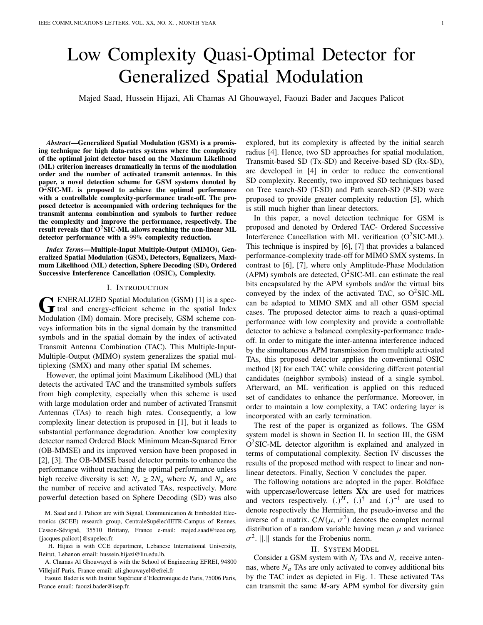# Low Complexity Quasi-Optimal Detector for Generalized Spatial Modulation

Majed Saad, Hussein Hijazi, Ali Chamas Al Ghouwayel, Faouzi Bader and Jacques Palicot

*Abstract*—Generalized Spatial Modulation (GSM) is a promising technique for high data-rates systems where the complexity of the optimal joint detector based on the Maximum Likelihood (ML) criterion increases dramatically in terms of the modulation order and the number of activated transmit antennas. In this paper, a novel detection scheme for GSM systems denoted by  $O<sup>2</sup>SIC-ML$  is proposed to achieve the optimal performance with a controllable complexity-performance trade-off. The proposed detector is accompanied with ordering techniques for the transmit antenna combination and symbols to further reduce the complexity and improve the performance, respectively. The result reveals that  $O^2$ SIC-ML allows reaching the non-linear ML detector performance with a 99% complexity reduction.

*Index Terms*—Multiple-Input Multiple-Output (MIMO), Generalized Spatial Modulation (GSM), Detectors, Equalizers, Maximum Likelihood (ML) detection, Sphere Decoding (SD), Ordered Successive Interference Cancellation (OSIC), Complexity.

#### I. INTRODUCTION

GENERALIZED Spatial Modulation (GSM) [1] is a spec-<br>
and energy-efficient scheme in the spatial Index ENERALIZED Spatial Modulation (GSM) [1] is a spec-Modulation (IM) domain. More precisely, GSM scheme conveys information bits in the signal domain by the transmitted symbols and in the spatial domain by the index of activated Transmit Antenna Combination (TAC). This Multiple-Input-Multiple-Output (MIMO) system generalizes the spatial multiplexing (SMX) and many other spatial IM schemes.

However, the optimal joint Maximum Likelihood (ML) that detects the activated TAC and the transmitted symbols suffers from high complexity, especially when this scheme is used with large modulation order and number of activated Transmit Antennas (TAs) to reach high rates. Consequently, a low complexity linear detection is proposed in [1], but it leads to substantial performance degradation. Another low complexity detector named Ordered Block Minimum Mean-Squared Error (OB-MMSE) and its improved version have been proposed in [2], [3]. The OB-MMSE based detector permits to enhance the performance without reaching the optimal performance unless high receive diversity is set:  $N_r \geq 2N_a$  where  $N_r$  and  $N_a$  are the number of receive and activated TAs, respectively. More powerful detection based on Sphere Decoding (SD) was also

M. Saad and J. Palicot are with Signal, Communication & Embedded Electronics (SCEE) research group, CentraleSupélec\IETR-Campus of Rennes, Cesson-Sévigné, 35510 Brittany, France e-mail: majed.saad@ieee.org, {jacques.palicot}@supelec.fr.

H. Hijazi is with CCE department, Lebanese International University, Beirut, Lebanon email: hussein.hijazi@liu.edu.lb.

A. Chamas Al Ghouwayel is with the School of Engineering EFREI, 94800 Villejuif-Paris, France email: ali.ghouwayel@efrei.fr

Faouzi Bader is with Institut Supérieur d'Electronique de Paris, 75006 Paris, France email: faouzi.bader@isep.fr.

explored, but its complexity is affected by the initial search radius [4]. Hence, two SD approaches for spatial modulation, Transmit-based SD (Tx-SD) and Receive-based SD (Rx-SD), are developed in [4] in order to reduce the conventional SD complexity. Recently, two improved SD techniques based on Tree search-SD (T-SD) and Path search-SD (P-SD) were proposed to provide greater complexity reduction [5], which is still much higher than linear detectors.

In this paper, a novel detection technique for GSM is proposed and denoted by Ordered TAC- Ordered Successive Interference Cancellation with ML verification  $(O^2SIC-ML)$ . This technique is inspired by [6], [7] that provides a balanced performance-complexity trade-off for MIMO SMX systems. In contrast to [6], [7], where only Amplitude-Phase Modulation  $(APM)$  symbols are detected,  $O^2SIC-ML$  can estimate the real bits encapsulated by the APM symbols and/or the virtual bits conveyed by the index of the activated TAC, so  $O^2SIC-ML$ can be adapted to MIMO SMX and all other GSM special cases. The proposed detector aims to reach a quasi-optimal performance with low complexity and provide a controllable detector to achieve a balanced complexity-performance tradeoff. In order to mitigate the inter-antenna interference induced by the simultaneous APM transmission from multiple activated TAs, this proposed detector applies the conventional OSIC method [8] for each TAC while considering different potential candidates (neighbor symbols) instead of a single symbol. Afterward, an ML verification is applied on this reduced set of candidates to enhance the performance. Moreover, in order to maintain a low complexity, a TAC ordering layer is incorporated with an early termination.

The rest of the paper is organized as follows. The GSM system model is shown in Section II. In section III, the GSM O<sup>2</sup>SIC-ML detector algorithm is explained and analyzed in terms of computational complexity. Section IV discusses the results of the proposed method with respect to linear and nonlinear detectors. Finally, Section V concludes the paper.

The following notations are adopted in the paper. Boldface with uppercase/lowercase letters  $X/x$  are used for matrices and vectors respectively.  $(.)^H$ ,  $(.)^{\dagger}$  and  $(.)^{-1}$  are used to denote respectively the Hermitian, the pseudo-inverse and the inverse of a matrix.  $CN(\mu, \sigma^2)$  denotes the complex normal distribution of a random variable having mean  $\mu$  and variance  $\sigma^2$ . ||.|| stands for the Frobenius norm.

#### II. SYSTEM MODEL

Consider a GSM system with  $N_t$  TAs and  $N_r$  receive antennas, where  $N_a$  TAs are only activated to convey additional bits by the TAC index as depicted in Fig. 1. These activated TAs can transmit the same  $M$ -ary APM symbol for diversity gain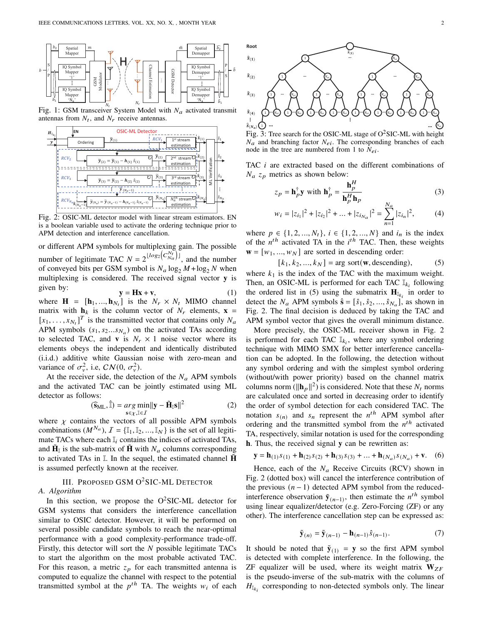

Fig. 1: GSM transceiver System Model with  $N_a$  activated transmit antennas from  $N_t$ , and  $N_r$  receive antennas.



Fig. 2: OSIC-ML detector model with linear stream estimators. EN is a boolean variable used to activate the ordering technique prior to APM detection and interference cancellation.

or different APM symbols for multiplexing gain. The possible number of legitimate TAC  $N = 2^{\lfloor log_2(C_{Na}^{N_t}) \rfloor}$ , and the number of conveyed bits per GSM symbol is  $N_a \log_2 M + \log_2 N$  when multiplexing is considered. The received signal vector y is given by:

 $y = Hx + v,$  (1) where  $\mathbf{H} = [\mathbf{h}_1, ..., \mathbf{h}_{N_t}]$  is the  $N_r \times N_t$  MIMO channel matrix with  $h_k$  is the column vector of  $N_r$  elements,  $x =$  $[x_1, \ldots, x_{N_t}]^T$  is the transmitted vector that contains only  $N_a$ APM symbols  $(s_1, s_2...s_{N_a})$  on the activated TAs according to selected TAC, and **v** is  $N_r \times 1$  noise vector where its elements obeys the independent and identically distributed (i.i.d.) additive white Gaussian noise with zero-mean and variance of  $\sigma_v^2$ , i.e,  $CN(0, \sigma_v^2)$ .

At the receiver side, the detection of the  $N_a$  APM symbols and the activated TAC can be jointly estimated using ML detector as follows:

$$
(\widehat{\mathbf{s}}_{\text{ML}}, \widehat{\mathbb{I}}) = \underset{\mathbf{s} \in \chi, \mathbb{I} \in \mathcal{I}}{\arg \min} ||\mathbf{y} - \widetilde{\mathbf{H}}_{\mathbb{I}} \mathbf{s}||^2 \tag{2}
$$

where  $\chi$  contains the vectors of all possible APM symbols combinations  $(M^{N_a})$ ,  $\mathcal{I} = {\mathbb{I}_1, \mathbb{I}_2, ..., \mathbb{I}_N}$  is the set of all legitimate TACs where each  $\mathbb{I}_i$  contains the indices of activated TAs, and  $\tilde{H}_{I}$  is the sub-matrix of  $\tilde{H}$  with  $N_a$  columns corresponding to activated TAs in  $\mathbb I$ . In the sequel, the estimated channel  $\mathbf H$ is assumed perfectly known at the receiver.

III. PROPOSED GSM O<sup>2</sup>SIC-ML DETECTOR *A. Algorithm*

In this section, we propose the  $O^2SIC-ML$  detector for GSM systems that considers the interference cancellation similar to OSIC detector. However, it will be performed on several possible candidate symbols to reach the near-optimal performance with a good complexity-performance trade-off. Firstly, this detector will sort the  $N$  possible legitimate TACs to start the algorithm on the most probable activated TAC. For this reason, a metric  $z_p$  for each transmitted antenna is computed to equalize the channel with respect to the potential transmitted symbol at the  $p^{th}$  TA. The weights  $w_i$  of each



Fig. 3: Tree search for the OSIC-ML stage of  $O^2$ SIC-ML with height  $N_a$  and branching factor  $N_{ei}$ . The corresponding branches of each node in the tree are numbered from 1 to  $N_{ei}$ .

TAC  $i$  are extracted based on the different combinations of  $N_a$   $z_p$  metrics as shown below:

$$
z_p = \mathbf{h}_p^{\dagger} \mathbf{y} \text{ with } \mathbf{h}_p^{\dagger} = \frac{\mathbf{h}_p^H}{\mathbf{h}_p^H \mathbf{h}_p}
$$
(3)

$$
w_i = |z_{i_1}|^2 + |z_{i_2}|^2 + \dots + |z_{i_{N_a}}|^2 = \sum_{n=1}^{N_a} |z_{i_n}|^2, \tag{4}
$$

where  $p \in \{1, 2, ..., N_t\}, i \in \{1, 2, ..., N\}$  and  $i_n$  is the index of the  $n^{th}$  activated TA in the  $i^{th}$  TAC. Then, these weights  $\mathbf{w} = [w_1, ..., w_N]$  are sorted in descending order:

 $[k_1, k_2, ..., k_N] = \arg sort(w, descending),$  (5)

where  $k_1$  is the index of the TAC with the maximum weight. Then, an OSIC-ML is performed for each TAC  $\mathbb{I}_{k_i}$  following the ordered list in (5) using the submatrix  $\mathbf{H}_{\mathbb{I}_{k_i}}$  in order to detect the  $N_a$  APM symbols  $\hat{\mathbf{s}} = [\hat{s}_1, \hat{s}_2, ..., \hat{s}_{N_a}]$ , as shown in Fig. 2. The final decision is deduced by taking the TAC and APM symbol vector that gives the overall minimum distance.

More precisely, the OSIC-ML receiver shown in Fig. 2 is performed for each TAC  $\mathbb{I}_{k_i}$ , where any symbol ordering technique with MIMO SMX for better interference cancellation can be adopted. In the following, the detection without any symbol ordering and with the simplest symbol ordering (without/with power priority) based on the channel matrix columns norm  $(||\mathbf{h}_p||^2)$  is considered. Note that these  $N_t$  norms are calculated once and sorted in decreasing order to identify the order of symbol detection for each considered TAC. The notation  $s_{(n)}$  and  $s_n$  represent the  $n^{th}$  APM symbol after ordering and the transmitted symbol from the  $n^{th}$  activated TA, respectively, similar notation is used for the corresponding h. Thus, the received signal y can be rewritten as:

$$
\mathbf{y} = \mathbf{h}_{(1)} s_{(1)} + \mathbf{h}_{(2)} s_{(2)} + \mathbf{h}_{(3)} s_{(3)} + \dots + \mathbf{h}_{(N_a)} s_{(N_a)} + \mathbf{v}.
$$
 (6)

Hence, each of the  $N_a$  Receive Circuits (RCV) shown in Fig. 2 (dotted box) will cancel the interference contribution of the previous  $(n - 1)$  detected APM symbol from the reducedinterference observation  $\tilde{y}_{(n-1)}$ , then estimate the  $n^{th}$  symbol using linear equalizer/detector (e.g. Zero-Forcing (ZF) or any other). The interference cancellation step can be expressed as:

$$
\tilde{\mathbf{y}}_{(n)} = \tilde{\mathbf{y}}_{(n-1)} - \mathbf{h}_{(n-1)}\hat{\mathbf{s}}_{(n-1)}.
$$
 (7)

It should be noted that  $\tilde{\mathbf{y}}_{(1)} = \mathbf{y}$  so the first APM symbol is detected with complete interference. In the following, the ZF equalizer will be used, where its weight matrix  $W_{ZF}$ is the pseudo-inverse of the sub-matrix with the columns of  $H_{\mathbb{I}_{k_i}}$  corresponding to non-detected symbols only. The linear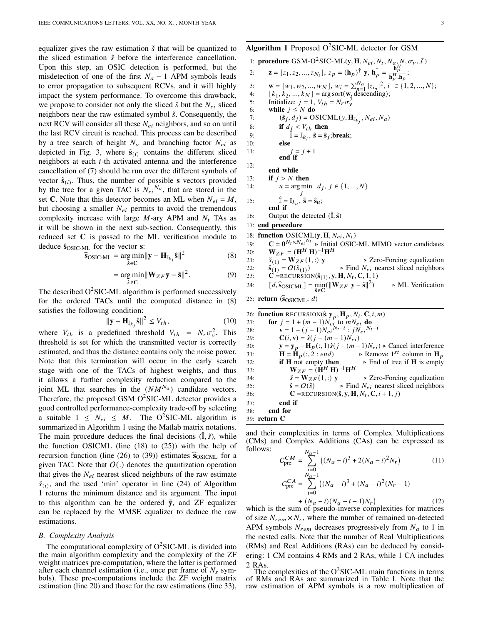equalizer gives the raw estimation  $\check{s}$  that will be quantized to the sliced estimation  $\hat{s}$  before the interference cancellation. Upon this step, an OSIC detection is performed, but the misdetection of one of the first  $N_a - 1$  APM symbols leads to error propagation to subsequent RCVs, and it will highly impact the system performance. To overcome this drawback, we propose to consider not only the sliced  $\hat{s}$  but the  $N_{ei}$  sliced neighbors near the raw estimated symbol  $\check{s}$ . Consequently, the next RCV will consider all these  $N_{ei}$  neighbors, and so on until the last RCV circuit is reached. This process can be described by a tree search of height  $N_a$  and branching factor  $N_{ei}$  as depicted in Fig. 3, where  $\hat{\mathbf{s}}_{(i)}$  contains the different sliced neighbors at each  $i$ -th activated antenna and the interference cancellation of (7) should be run over the different symbols of vector  $\hat{\mathbf{s}}_{(i)}$ . Thus, the number of possible s vectors provided by the tree for a given TAC is  $N_{ei}^{N_a}$ , that are stored in the set C. Note that this detector becomes an ML when  $N_{ei} = M$ , but choosing a smaller  $N_{ei}$  permits to avoid the tremendous complexity increase with large  $M$ -ary APM and  $N_t$  TAs as it will be shown in the next sub-section. Consequently, this reduced set C is passed to the ML verification module to deduce  $\hat{s}_{OSIC-ML}$  for the vector s:

$$
\widehat{\mathbf{s}}_{\text{OSIC-ML}} = \underset{\hat{\mathbf{s}} \in \mathbf{C}}{\arg \min} ||\mathbf{y} - \mathbf{H}_{\mathbb{I}_{k_j}} \hat{\mathbf{s}}||^2 \tag{8}
$$

$$
= \underset{\hat{s} \in \mathbf{C}}{\arg \min} ||\mathbf{W}_{ZF} \mathbf{y} - \hat{\mathbf{s}}||^2. \tag{9}
$$

The described  $O^2$ SIC-ML algorithm is performed successively for the ordered TACs until the computed distance in (8) satisfies the following condition:

$$
\|\mathbf{y} - \mathbf{H}_{\mathbb{I}_{k_i}}\mathbf{\hat{s}}\|^2 \le V_{th},\tag{10}
$$

where  $V_{th}$  is a predefined threshold  $V_{th} = N_r \sigma_v^2$ . This threshold is set for which the transmitted vector is correctly estimated, and thus the distance contains only the noise power. Note that this termination will occur in the early search stage with one of the TACs of highest weights, and thus it allows a further complexity reduction compared to the joint ML that searches in the  $(NM^{N_a})$  candidate vectors. Therefore, the proposed GSM  $O^2$ SIC-ML detector provides a good controlled performance-complexity trade-off by selecting a suitable  $1 \leq N_{ei} \leq M$ . The O<sup>2</sup>SIC-ML algorithm is summarized in Algorithm 1 using the Matlab matrix notations. The main procedure deduces the final decisions  $(\hat{I}, \hat{s})$ , while the function OSICML (line (18) to (25)) with the help of recursion function (line (26) to (39)) estimates  $\hat{s}_{OSICML}$  for a given TAC. Note that  $O(.)$  denotes the quantization operation that gives the  $N_{ei}$  nearest sliced neighbors of the raw estimate  $\check{s}_{(i)}$ , and the used 'min' operator in line (24) of Algorithm 1 returns the minimum distance and its argument. The input to this algorithm can be the ordered  $\tilde{y}$ , and ZF equalizer can be replaced by the MMSE equalizer to deduce the raw estimations.

#### *B. Complexity Analysis*

The computational complexity of  $O^2$ SIC-ML is divided into the main algorithm complexity and the complexity of the ZF weight matrices pre-computation, where the latter is performed after each channel estimation (i.e., once per frame of  $N_s$  symbols). These pre-computations include the ZF weight matrix estimation (line 20) and those for the raw estimations (line 33),

### Algorithm 1 Proposed  $O^2$ SIC-ML detector for GSM

Algorithm 1 Proposed O-SIC-ML detector for GSM  
\n1: procedure GSM-O<sup>2</sup>SIC-ML(y, H, N<sub>ei</sub>, N<sub>t</sub>, N<sub>a</sub>, N, \sigma<sub>v</sub>, I)  
\n2: 
$$
z = [z_1, z_2, ..., z_{N_t}], z_p = (\mathbf{h}_p)^{\dagger} \mathbf{y}, \mathbf{h}_p^{\dagger} = \frac{\mathbf{h}_p^H}{\mathbf{h}_p^H, \mathbf{h}_p};
$$
  
\n3:  $\mathbf{w} = [w_1, w_2, ..., w_N], w_i = \sum_{n=1}^{N_a} |z_{i_n}|^2, i \in \{1, 2, ..., N\};$   
\n4:  $[k_1, k_2, ..., k_N] = \arg \text{sort}(\mathbf{w}, \text{descending});$   
\n5: Initialize:  $j = 1, V_{th} = N_r \sigma_v^2$   
\nwhile  $j \le N$  do  
\nwhile  $\mathbf{h}^2 = \mathbf{I}_k$ ,  $\hat{\mathbf{s}} = \mathbf{S}_j$ :break;  
\n6:  $(\hat{\mathbf{s}}_j, d_j) = \text{OSICML}(y, \mathbf{H}_{\hat{\mathbf{l}}k_j}, N_{ei}, N_a)$   
\n8:  $\mathbf{if} d_j < V_{th} \text{ then}$   
\n9:  $\mathbf{I} = \mathbf{I}_{k_j}, \hat{\mathbf{s}} = \hat{\mathbf{s}}_j$ :break;  
\n10: else  
\n11:  $\mathbf{if} j > N \text{ then}$   
\n14:  $u = \arg \min d_j, j \in \{1, ..., N\}$   
\n15:  $\mathbf{f} = \mathbf{I}_{k_u}, \hat{\mathbf{s}} = \hat{\mathbf{s}}_u$ ;  
\nend if  
\n16: Output the detected  $(\hat{\mathbf{I}}, \hat{\mathbf{s}})$   
\n17: end procedure  
\n18: function OSICML(y, H, N<sub>ei</sub>, N<sub>t</sub>)  
\n19:  $\mathbf{C} = \mathbf{0}^{N_t \times N_{ei}, N_t} \mathbf{h}$  Initial OSIC-ML MIMO vector candidates  
\n20:  $\mathbf{W}_{ZF} = (\mathbf{H}^H \mathbf{H})^{-1} \mathbf{H}^H \$ 

31: 
$$
\mathbf{H} = \mathbf{H}_p(:, 2 : end) \rightarrow \text{Remove } 1^{st} \text{ column in } \mathbf{H}_p
$$
  
\n32:  $\mathbf{H} \text{ not empty then } \rightarrow \text{End of tree if } \mathbf{H} \text{ is empty}$   
\n33:  $\mathbf{W}_{ZF} = (\mathbf{H}^H \mathbf{H})^{-1} \mathbf{H}^H \rightarrow \text{Zero-Forcing equalization}$   
\n35:  $\hat{\mathbf{s}} = O(\hat{\mathbf{s}}) \rightarrow \text{Find } N_{ei} \text{ nearest sliced neighbors}$   
\n36:  $\mathbf{C} = \text{RECURSION}(\hat{\mathbf{s}}, \mathbf{y}, \mathbf{H}, N_t, \mathbf{C}, i + 1, j)$   
\n37: end if

38: end for

$$
39: return C
$$

and their complexities in terms of Complex Multiplications (CMs) and Complex Additions (CAs) can be expressed as follows:  $\overline{N}$ 

$$
C_{\text{pre}}^{CM} = \sum_{i=0}^{N_a - 1} ((N_a - i)^3 + 2(N_a - i)^2 N_r)
$$
(11)  
\n
$$
C_{\text{pre}}^{CA} = \sum_{i=0}^{N_a - 1} ((N_a - i)^3 + (N_a - i)^2 (N_r - 1)
$$
  
\n
$$
+ (N_a - i)(N_a - i - 1)N_r)
$$
(12)

which is the sum of pseudo-inverse complexities for matrices of size  $N_{rem} \times N_r$ , where the number of remained un-detected APM symbols  $N_{rem}$  decreases progressively from  $N_a$  to 1 in the nested calls. Note that the number of Real Multiplications (RMs) and Real Additions (RAs) can be deduced by considering: 1 CM contains 4 RMs and 2 RAs, while 1 CA includes 2 RAs.

The complexities of the  $O^2$ SIC-ML main functions in terms of RMs and RAs are summarized in Table I. Note that the raw estimation of APM symbols is a row multiplication of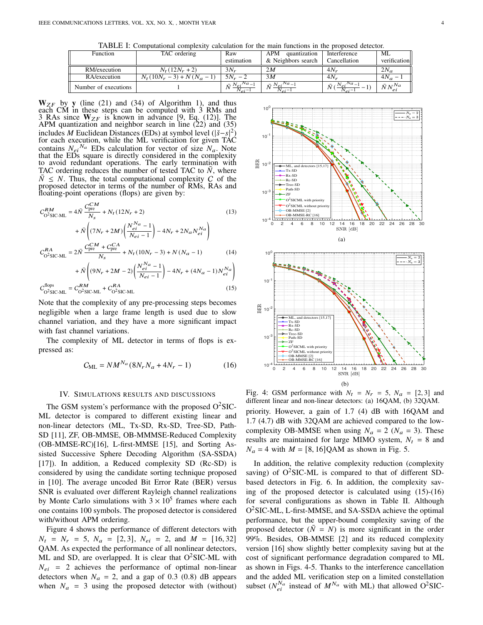TABLE I: Computational complexity calculation for the main functions in the proposed detector.

| Function             | TAC ordering              | Raw                      | APM<br>quantization                     | Interference       | ML              |
|----------------------|---------------------------|--------------------------|-----------------------------------------|--------------------|-----------------|
|                      |                           | estimation               | & Neighbors search                      | Cancellation       | verification    |
| RM/execution         | $N_t(12N_r + 2)$          | $3N_r$                   | 2M                                      | $4N_r$             | $2N_a$          |
| RA/execution         | $N_t(10N_r-3) + N(N_a-1)$ | $5N_r - 2$               | 3M                                      | $4N_r$             | $4N_a - 1$      |
| Number of executions |                           | $\bar{N} N e^{iN a - 1}$ | $\bar{N} N_{ei} N a^{-1}$<br>$N_{ei}$ – | $N_a=1$<br>$Nei^P$ | $\bar{N}N^{Na}$ |

 $W_{ZF}$  by y (line (21) and (34) of Algorithm 1), and thus each CM in these steps can be computed with 3 RMs and 3 RAs since  $W_{ZF}$  is known in advance [9, Eq. (12)]. The APM quantization and neighbor search in line (22) and (35)<br>includes M Euclidean Distances (EDs) at symbol level ( $\mathcal{S}_{\text{eff}}(2)$ includes *M* Euclidean Distances (EDs) at symbol level ( $|\check{s}-s|$ ) for each execution, while the ML verification for given TAC contains  $N_{ei}^{Na}$  EDs calculation for vector of size  $N_a$ . Note that the EDs square is directly considered in the complexity to avoid redundant operations. The early termination with TAC ordering reduces the number of tested TAC to  $N$ , where  $N \leq N$ . Thus, the total computational complexity C of the proposed detector in terms of the number of RMs, RAs and floating-point operations (flops) are given by:

$$
C_{\text{O}^2\text{SIC-ML}}^{RM} = 4\bar{N} \frac{C_{\text{pre}}^{CM}}{N_s} + N_t (12N_r + 2)
$$
(13)  
+  $\bar{N} \left( (7N_r + 2M) \left( \frac{N_{ei}^{Na} - 1}{N_{ei} - 1} \right) - 4N_r + 2N_a N_{ei}^{Na} \right)$   

$$
C_{\text{O}^2\text{SIC-ML}}^{RA} = 2\bar{N} \frac{C_{\text{pre}}^{CM} + C_{\text{pre}}^{CA}}{N_s} + N_t (10N_r - 3) + N (N_a - 1)
$$
(14)

$$
+\bar{N}\left((9N_r+2M-2)\left(\frac{N_{ei}^{Na}-1}{N_{ei}-1}\right)-4N_r+(4N_a-1)N_{ei}^{Na}\right)
$$
  

$$
C_{O^2SIC-ML}^{\text{flops}}=C_{O^2SIC-ML}^{RM}+C_{O^2SIC-ML}^{RA}
$$
 (15)

Note that the complexity of any pre-processing steps becomes negligible when a large frame length is used due to slow channel variation, and they have a more significant impact with fast channel variations.

The complexity of ML detector in terms of flops is expressed as:

$$
C_{\rm ML} = N M^{N_a} (8N_r N_a + 4N_r - 1)
$$
 (16)

#### IV. SIMULATIONS RESULTS AND DISCUSSIONS

The GSM system's performance with the proposed  $O^2$ SIC-ML detector is compared to different existing linear and non-linear detectors (ML, Tx-SD, Rx-SD, Tree-SD, Path-SD [11], ZF, OB-MMSE, OB-MMMSE-Reduced Complexity (OB-MMSE-RC)[16], L-first-MMSE [15], and Sorting Assisted Successive Sphere Decoding Algorithm (SA-SSDA) [17]). In addition, a Reduced complexity SD (Rc-SD) is considered by using the candidate sorting technique proposed in [10]. The average uncoded Bit Error Rate (BER) versus SNR is evaluated over different Rayleigh channel realizations by Monte Carlo simulations with  $3 \times 10^5$  frames where each one contains 100 symbols. The proposed detector is considered with/without APM ordering.

Figure 4 shows the performance of different detectors with  $N_t = N_r = 5$ ,  $N_a = [2, 3]$ ,  $N_{ei} = 2$ , and  $M = [16, 32]$ QAM. As expected the performance of all nonlinear detectors, ML and SD, are overlapped. It is clear that  $O^2SIC\text{-}ML$  with  $N_{ei}$  = 2 achieves the performance of optimal non-linear detectors when  $N_a = 2$ , and a gap of 0.3 (0.8) dB appears when  $N_a = 3$  using the proposed detector with (without)



Fig. 4: GSM performance with  $N_t = N_r = 5$ ,  $N_a = [2, 3]$  and different linear and non-linear detectors: (a) 16QAM, (b) 32QAM. priority. However, a gain of 1.7 (4) dB with 16QAM and 1.7 (4.7) dB with 32QAM are achieved compared to the lowcomplexity OB-MMSE when using  $N_a = 2$  ( $N_a = 3$ ). These results are maintained for large MIMO system,  $N_t = 8$  and  $N_a = 4$  with  $M = [8, 16] QAM$  as shown in Fig. 5.

In addition, the relative complexity reduction (complexity saving) of  $O^2$ SIC-ML is compared to that of different SDbased detectors in Fig. 6. In addition, the complexity saving of the proposed detector is calculated using (15)-(16) for several configurations as shown in Table II. Although O<sup>2</sup>SIC-ML, L-first-MMSE, and SA-SSDA achieve the optimal performance, but the upper-bound complexity saving of the proposed detector  $(N = N)$  is more significant in the order 99%. Besides, OB-MMSE [2] and its reduced complexity version [16] show slightly better complexity saving but at the cost of significant performance degradation compared to ML as shown in Figs. 4-5. Thanks to the interference cancellation and the added ML verification step on a limited constellation subset  $(N_{ei}^{Na}$  instead of  $M^{Na}$  with ML) that allowed O<sup>2</sup>SIC-